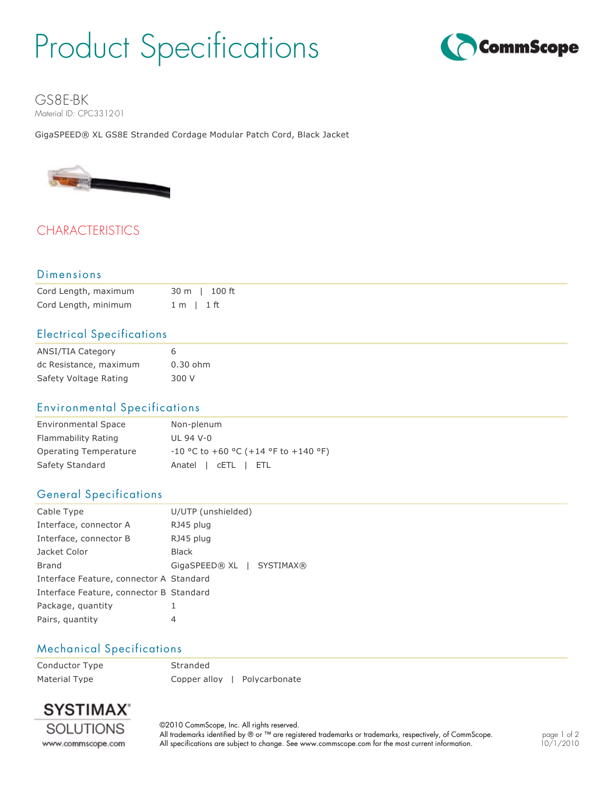# Product Specifications



GS8E-BK Material ID: CPC3312-01

GigaSPEED® XL GS8E Stranded Cordage Modular Patch Cord, Black Jacket



# **CHARACTERISTICS**

#### Dimensions

| Cord Length, maximum | 30 m l 100 ft |
|----------------------|---------------|
| Cord Length, minimum | 1 m 1 ft      |

### Electrical Specifications

| ANSI/TIA Category      | 6          |
|------------------------|------------|
| dc Resistance, maximum | $0.30$ ohm |
| Safety Voltage Rating  | 300 V      |

#### Environmental Specifications

| <b>Environmental Space</b> | Non-plenum                             |
|----------------------------|----------------------------------------|
| Flammability Rating        | UL 94 V-0                              |
| Operating Temperature      | $-10$ °C to +60 °C (+14 °F to +140 °F) |
| Safety Standard            | Anatel   CETL   ETL                    |

#### General Specifications

| Cable Type                              | U/UTP (unshielded)        |  |  |
|-----------------------------------------|---------------------------|--|--|
| Interface, connector A                  | RJ45 plug                 |  |  |
| Interface, connector B                  | RJ45 plug                 |  |  |
| Jacket Color                            | <b>Black</b>              |  |  |
| <b>Brand</b>                            | GigaSPEED® XL   SYSTIMAX® |  |  |
| Interface Feature, connector A Standard |                           |  |  |
| Interface Feature, connector B Standard |                           |  |  |
| Package, quantity                       | 1                         |  |  |
| Pairs, quantity                         | 4                         |  |  |

#### Mechanical Specifications

Conductor Type Stranded Material Type **Copper alloy | Polycarbonate** 



©2010 CommScope, Inc. All rights reserved. All trademarks identified by ® or ™ are registered trademarks or trademarks, respectively, of CommScope. All specifications are subject to change. See www.commscope.com for the most current information.